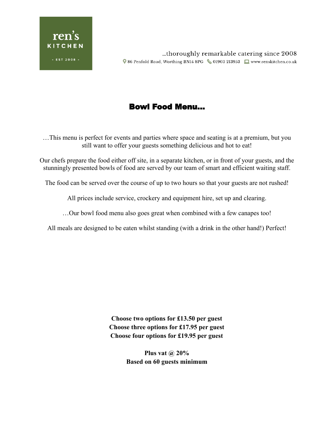

## Bowl Food Menu…

…This menu is perfect for events and parties where space and seating is at a premium, but you still want to offer your guests something delicious and hot to eat!

Our chefs prepare the food either off site, in a separate kitchen, or in front of your guests, and the stunningly presented bowls of food are served by our team of smart and efficient waiting staff.

The food can be served over the course of up to two hours so that your guests are not rushed!

All prices include service, crockery and equipment hire, set up and clearing.

…Our bowl food menu also goes great when combined with a few canapes too!

All meals are designed to be eaten whilst standing (with a drink in the other hand!) Perfect!

**Choose two options for £13.50 per guest Choose three options for £17.95 per guest Choose four options for £19.95 per guest**

> **Plus vat @ 20% Based on 60 guests minimum**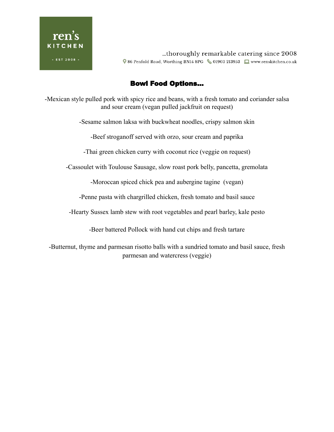

...thoroughly remarkable catering since 2008 ♥ 86 Penfold Road, Worthing BN14 8PG <a>
61903 213953 <a>
□<br/>
□</a>
□</a>
□</a>
□</a>
□</a>
□</a>
□</a>
□</a>
□</a>
□</a>
□</a>
□</a>
□</a>
□</a>
□</a>
□</a>
□</a>
□</a>
□</a>
□</a>
□</a>
□</a>
□</a>
□</a>
□</a>
□</a>

## Bowl Food Options…

-Mexican style pulled pork with spicy rice and beans, with a fresh tomato and coriander salsa and sour cream (vegan pulled jackfruit on request)

-Sesame salmon laksa with buckwheat noodles, crispy salmon skin

-Beef stroganoff served with orzo, sour cream and paprika

-Thai green chicken curry with coconut rice (veggie on request)

-Cassoulet with Toulouse Sausage, slow roast pork belly, pancetta, gremolata

-Moroccan spiced chick pea and aubergine tagine (vegan)

-Penne pasta with chargrilled chicken, fresh tomato and basil sauce

-Hearty Sussex lamb stew with root vegetables and pearl barley, kale pesto

-Beer battered Pollock with hand cut chips and fresh tartare

-Butternut, thyme and parmesan risotto balls with a sundried tomato and basil sauce, fresh parmesan and watercress (veggie)